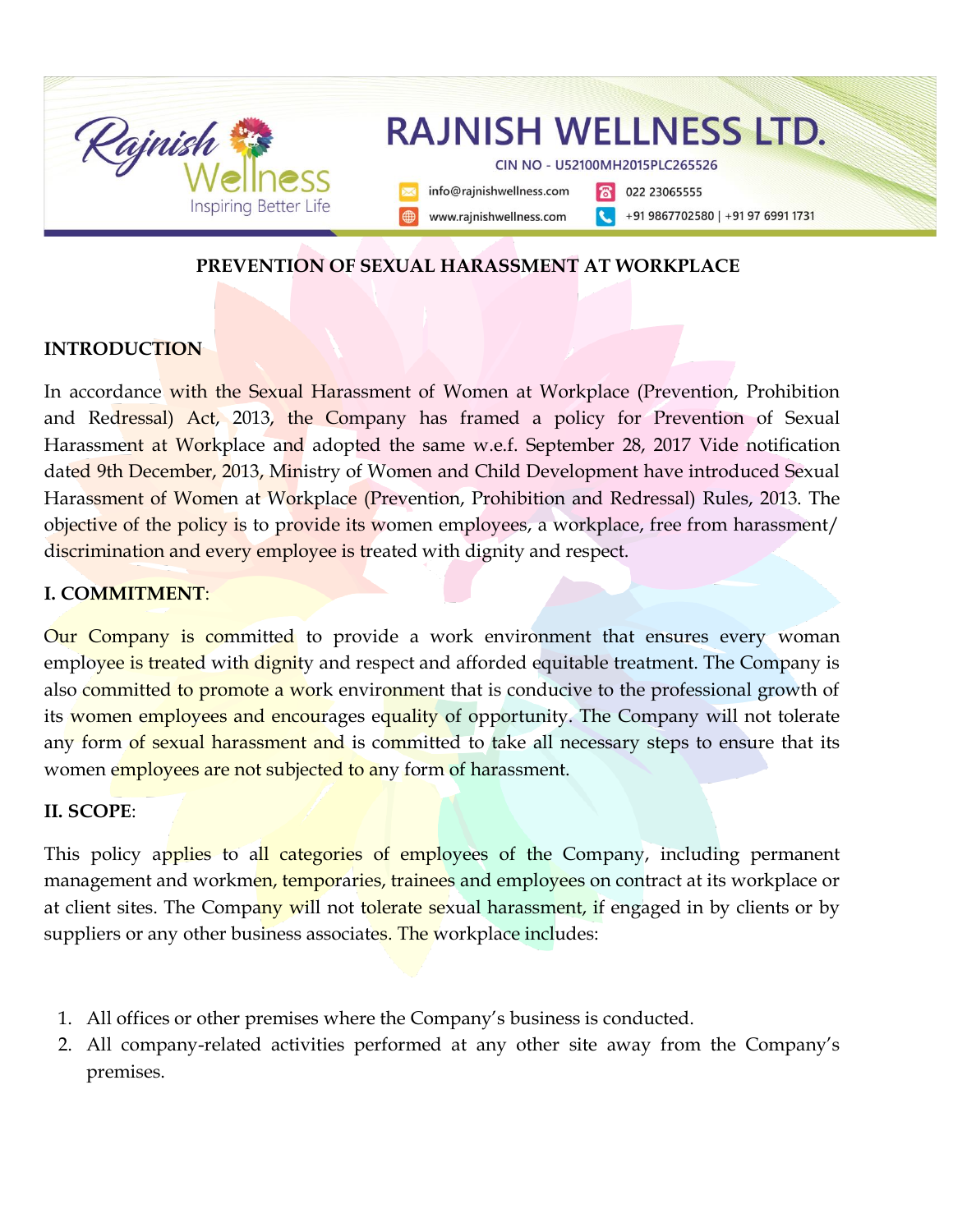

#### **PREVENTION OF SEXUAL HARASSMENT AT WORKPLACE**

#### **INTRODUCTION**

In accordance with the Sexual Harassment of Women at Workplace (Prevention, Prohibition and Redressal) Act, 2013, the Company has framed a policy for Prevention of Sexual Harassment at Workplace and adopted the same w.e.f. September 28, 2017 Vide notification dated 9th December, 2013, Ministry of Women and Child Development have introduced Sexual Harassment of Women at Workplace (Prevention, Prohibition and Redressal) Rules, 2013. The objective of the policy is to provide its women employees, a workplace, free from harassment/ discrimination and every employee is treated with dignity and respect.

#### **I. COMMITMENT**:

Our Company is committed to provide a work environment that ensures every woman employee is treated with dignity and respect and afforded equitable treatment. The Company is also committed to promote a work environment that is conducive to the professional growth of its women employees and encourages equality of opportunity. The Company will not tolerate any form of sexual harassment and is committed to take all necessary steps to ensure that its women employees are not subjected to any form of harassment.

#### **II. SCOPE**:

This policy applies to all categories of employees of the Company, including permanent management and workmen, temporaries, trainees and employees on contract at its workplace or at client sites. The Company will not tolerate sexual harassment, if engaged in by clients or by suppliers or any other business associates. The workplace includes:

- 1. All offices or other premises where the Company's business is conducted.
- 2. All company-related activities performed at any other site away from the Company's premises.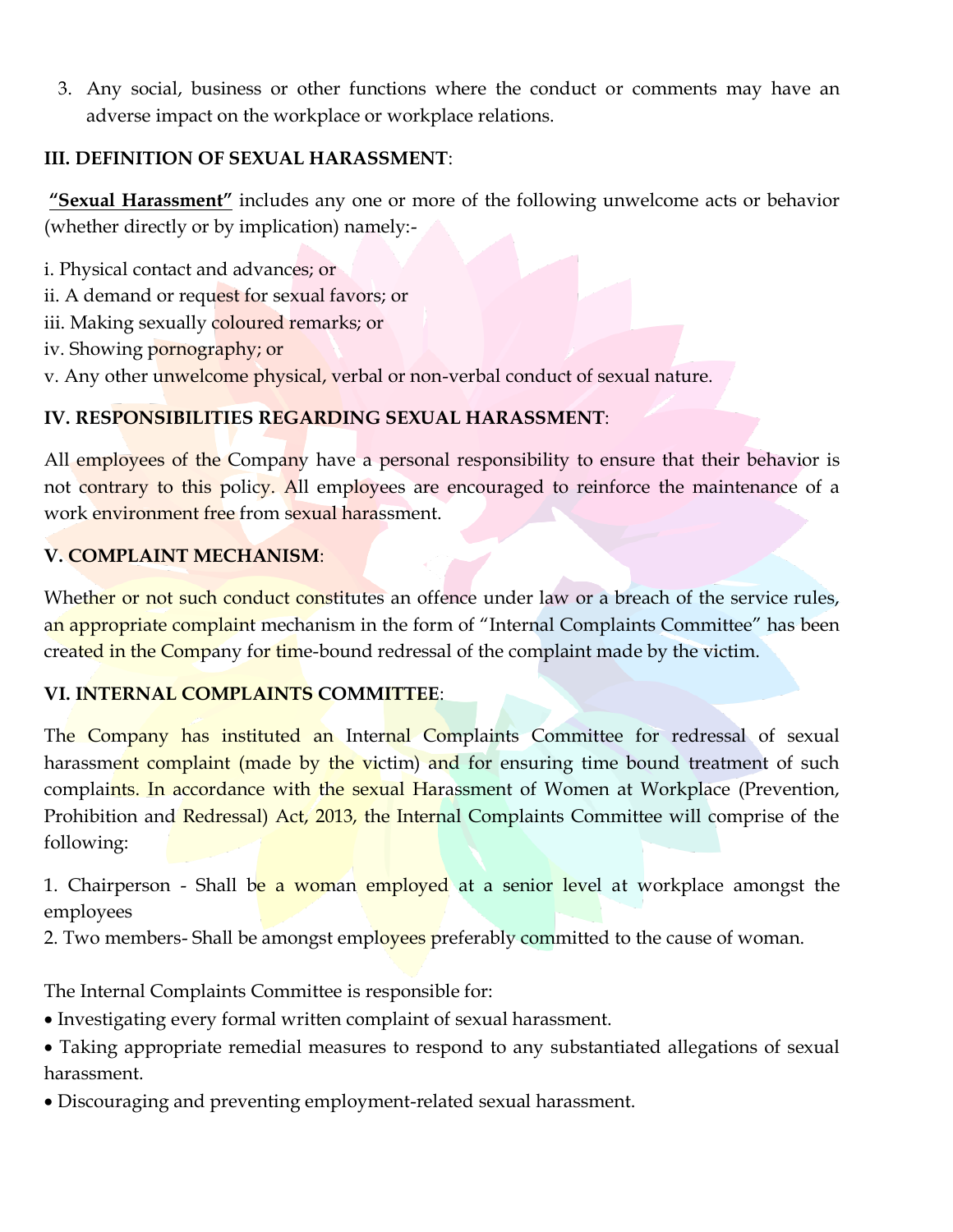3. Any social, business or other functions where the conduct or comments may have an adverse impact on the workplace or workplace relations.

### **III. DEFINITION OF SEXUAL HARASSMENT**:

**"Sexual Harassment"** includes any one or more of the following unwelcome acts or behavior (whether directly or by implication) namely:-

i. Physical contact and advances; or

- ii. A demand or request for sexual favors; or
- iii. Making sexually coloured remarks; or
- iv. Showing pornography; or
- v. Any other unwelcome physical, verbal or non-verbal conduct of sexual nature.

### **IV. RESPONSIBILITIES REGARDING SEXUAL HARASSMENT**:

All employees of the Company have a personal responsibility to ensure that their behavior is not contrary to this policy. All employees are encouraged to reinforce the maintenance of a work environment free from sexual harassment.

### **V. COMPLAINT MECHANISM**:

Whether or not such conduct constitutes an offence under law or a breach of the service rules, an appropriate complaint mechanism in the form of "Internal Complaints Committee" has been created in the Company for time-bound redressal of the complaint made by the victim.

## **VI. INTERNAL COMPLAINTS COMMITTEE**:

The Company has instituted an Internal Complaints Committee for redressal of sexual harassment complaint (made by the victim) and for ensuring time bound treatment of such complaints. In accordance with the sexual Harassment of Women at Workplace (Prevention, Prohibition and Redressal) Act, 2013, the Internal Complaints Committee will comprise of the following:

1. Chairperson - Shall be a woman employed at a senior level at workplace amongst the employees

2. Two members- Shall be amongst employees preferably committed to the cause of woman.

The Internal Complaints Committee is responsible for:

- Investigating every formal written complaint of sexual harassment.
- Taking appropriate remedial measures to respond to any substantiated allegations of sexual harassment.
- Discouraging and preventing employment-related sexual harassment.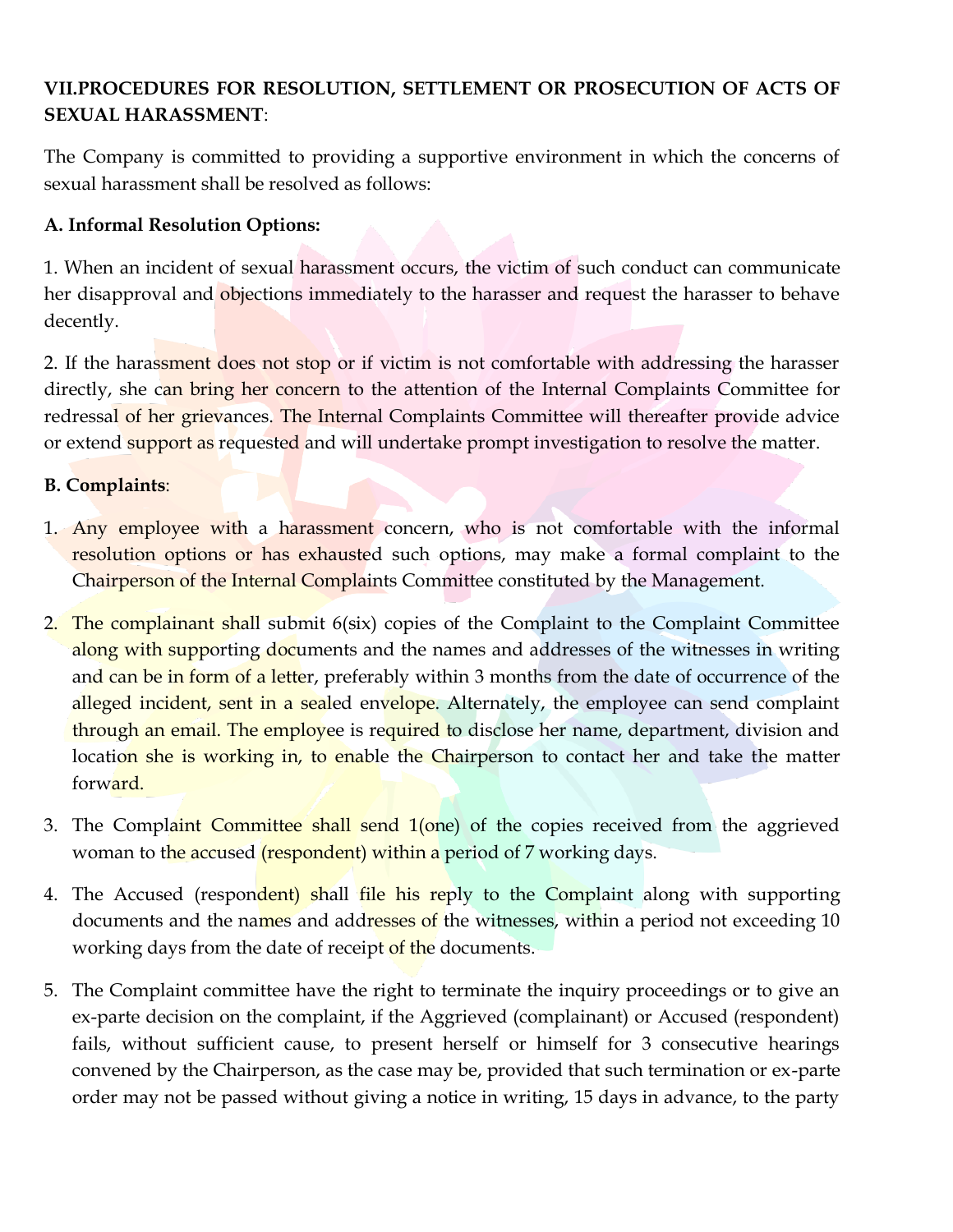# **VII.PROCEDURES FOR RESOLUTION, SETTLEMENT OR PROSECUTION OF ACTS OF SEXUAL HARASSMENT**:

The Company is committed to providing a supportive environment in which the concerns of sexual harassment shall be resolved as follows:

### **A. Informal Resolution Options:**

1. When an incident of sexual harassment occurs, the victim of such conduct can communicate her disapproval and objections immediately to the harasser and request the harasser to behave decently.

2. If the harassment does not stop or if victim is not comfortable with addressing the harasser directly, she can bring her concern to the attention of the Internal Complaints Committee for redressal of her grievances. The Internal Complaints Committee will thereafter provide advice or extend support as requested and will undertake prompt investigation to resolve the matter.

### **B. Complaints**:

- 1. Any employee with a harassment concern, who is not comfortable with the informal resolution options or has exhausted such options, may make a formal complaint to the Chairperson of the Internal Complaints Committee constituted by the Management.
- 2. The complainant shall submit 6(six) copies of the Complaint to the Complaint Committee along with supporting documents and the names and addresses of the witnesses in writing and can be in form of a letter, preferably within 3 months from the date of occurrence of the alleged incident, sent in a sealed envelope. Alternately, the employee can send complaint through an email. The employee is required to disclose her name, department, division and location she is working in, to enable the Chairperson to contact her and take the matter forward.
- 3. The Complaint Committee shall send 1(one) of the copies received from the aggrieved woman to the accused (respondent) within a period of 7 working days.
- 4. The Accused (respondent) shall file his reply to the Complaint along with supporting documents and the names and addresses of the witnesses, within a period not exceeding 10 working days from the date of receipt of the documents.
- 5. The Complaint committee have the right to terminate the inquiry proceedings or to give an ex-parte decision on the complaint, if the Aggrieved (complainant) or Accused (respondent) fails, without sufficient cause, to present herself or himself for 3 consecutive hearings convened by the Chairperson, as the case may be, provided that such termination or ex-parte order may not be passed without giving a notice in writing, 15 days in advance, to the party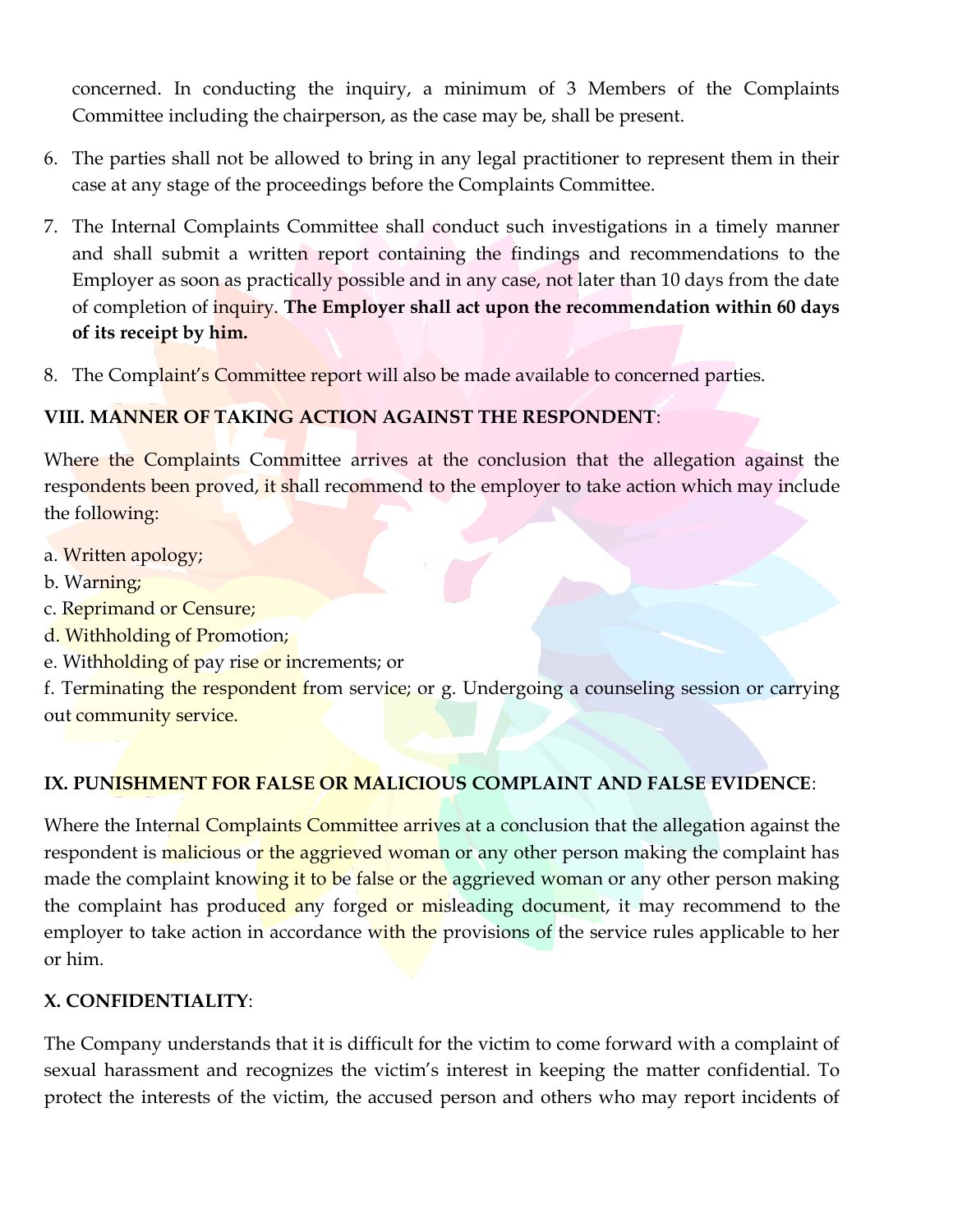concerned. In conducting the inquiry, a minimum of 3 Members of the Complaints Committee including the chairperson, as the case may be, shall be present.

- 6. The parties shall not be allowed to bring in any legal practitioner to represent them in their case at any stage of the proceedings before the Complaints Committee.
- 7. The Internal Complaints Committee shall conduct such investigations in a timely manner and shall submit a written report containing the findings and recommendations to the Employer as soon as practically possible and in any case, not later than 10 days from the date of completion of inquiry. **The Employer shall act upon the recommendation within 60 days of its receipt by him.**
- 8. The Complaint's Committee report will also be made available to concerned parties.

# **VIII. MANNER OF TAKING ACTION AGAINST THE RESPONDENT**:

Where the Complaints Committee arrives at the conclusion that the allegation against the respondents been proved, it shall recommend to the employer to take action which may include the following:

- a. Written apology;
- b. Warning;
- c. Reprimand or Censure;
- d. Withholding of Promotion;
- e. Withholding of pay rise or increments; or

f. Terminating the respondent from service; or g. Undergoing a counseling session or carrying out community service.

## **IX. PUNISHMENT FOR FALSE OR MALICIOUS COMPLAINT AND FALSE EVIDENCE**:

Where the Internal Complaints Committee arrives at a conclusion that the allegation against the respondent is malicious or the aggrieved woman or any other person making the complaint has made the complaint knowing it to be false or the aggrieved woman or any other person making the complaint has produced any forged or misleading document, it may recommend to the employer to take action in accordance with the provisions of the service rules applicable to her or him.

## **X. CONFIDENTIALITY**:

The Company understands that it is difficult for the victim to come forward with a complaint of sexual harassment and recognizes the victim's interest in keeping the matter confidential. To protect the interests of the victim, the accused person and others who may report incidents of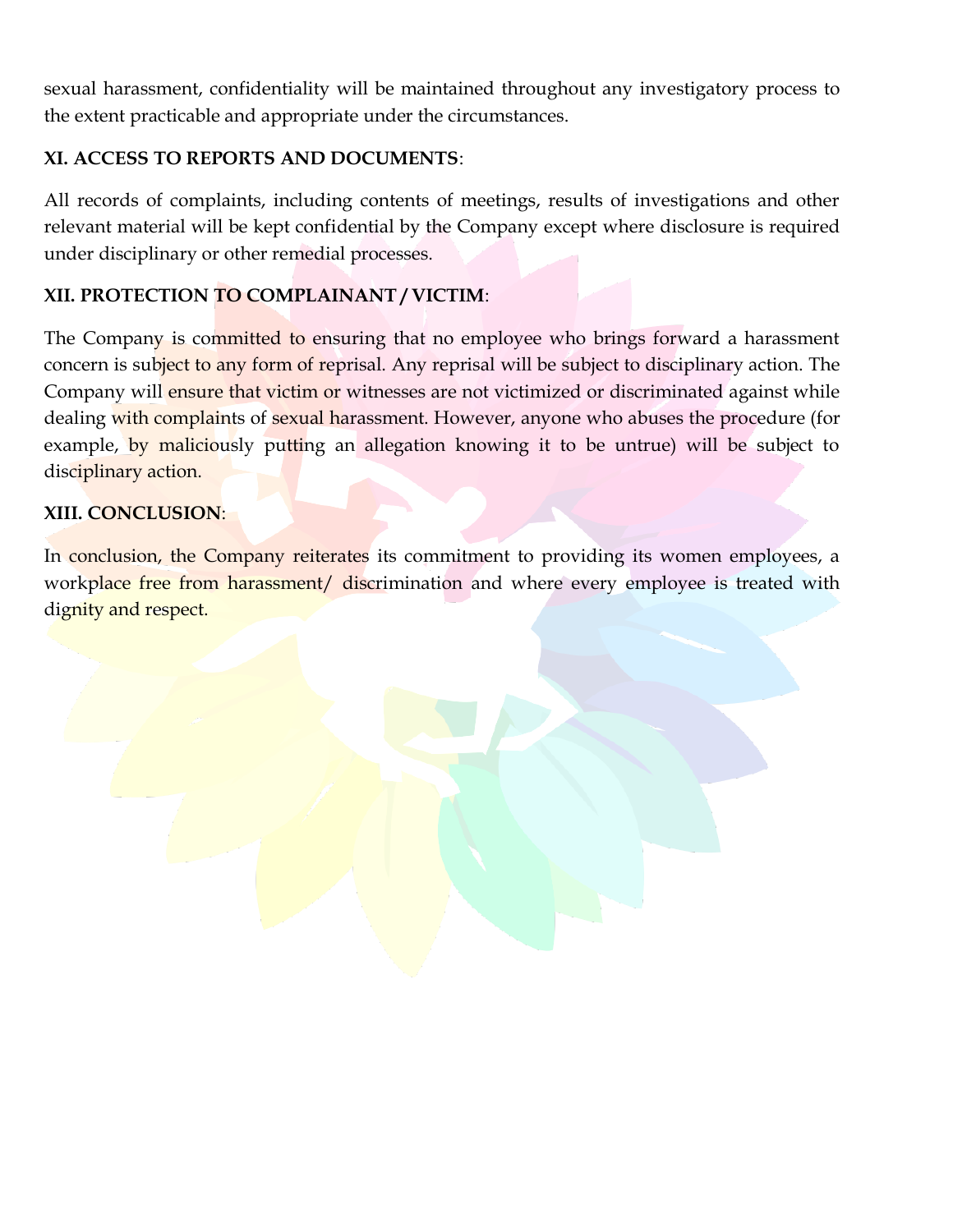sexual harassment, confidentiality will be maintained throughout any investigatory process to the extent practicable and appropriate under the circumstances.

# **XI. ACCESS TO REPORTS AND DOCUMENTS**:

All records of complaints, including contents of meetings, results of investigations and other relevant material will be kept confidential by the Company except where disclosure is required under disciplinary or other remedial processes.

# **XII. PROTECTION TO COMPLAINANT / VICTIM**:

The Company is committed to ensuring that no employee who brings forward a harassment concern is subject to any form of reprisal. Any reprisal will be subject to disciplinary action. The Company will ensure that victim or witnesses are not victimized or discriminated against while dealing with complaints of sexual harassment. However, anyone who abuses the procedure (for example, by maliciously putting an allegation knowing it to be untrue) will be subject to disciplinary action.

# **XIII. CONCLUSION**:

In conclusion, the Company reiterates its commitment to providing its women employees, a workplace free from harassment/ discrimination and where every employee is treated with dignity and respect.